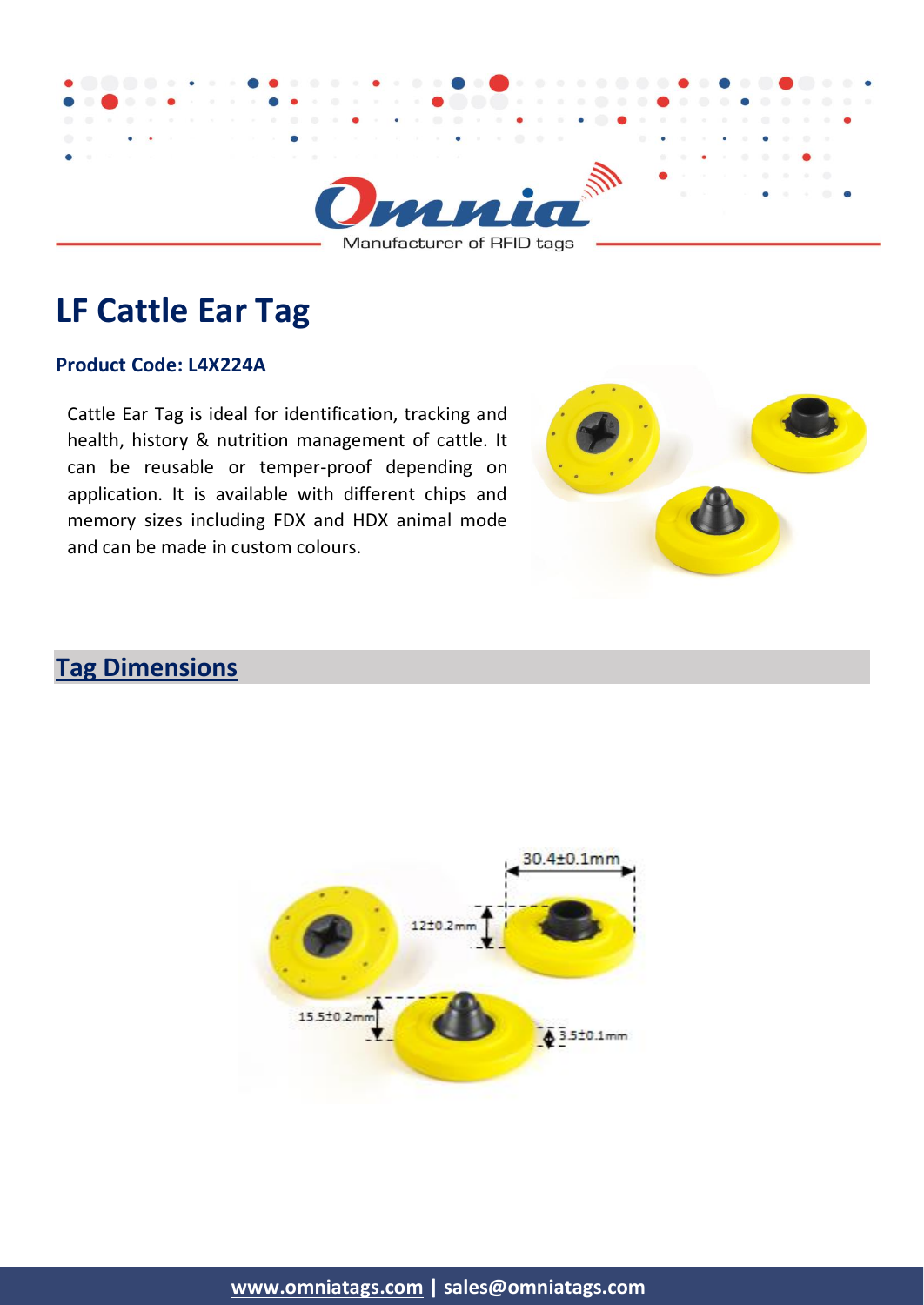

# **LF Cattle Ear Tag**

#### **Product Code: L4X224A**

Cattle Ear Tag is ideal for identification, tracking and health, history & nutrition management of cattle. It can be reusable or temper-proof depending on application. It is available with different chips and memory sizes including FDX and HDX animal mode and can be made in custom colours.



# **Tag Dimensions**



**[www.omniatags.com](http://www.omniatags.com/) | sales@omniatags.com**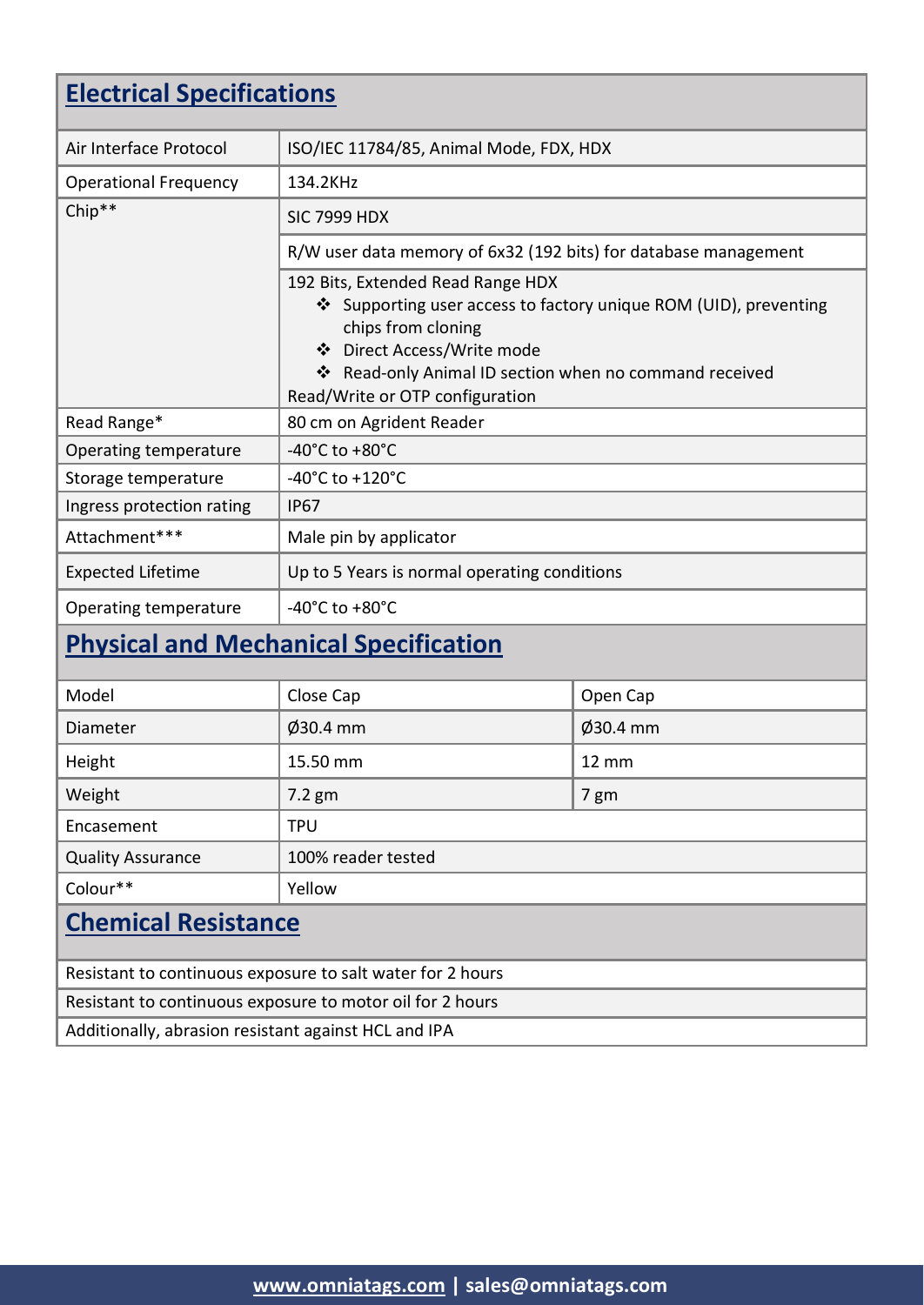| <b>Electrical Specifications</b>                                                         |                                                                                                                                                                                                                                                        |              |  |
|------------------------------------------------------------------------------------------|--------------------------------------------------------------------------------------------------------------------------------------------------------------------------------------------------------------------------------------------------------|--------------|--|
| Air Interface Protocol                                                                   | ISO/IEC 11784/85, Animal Mode, FDX, HDX                                                                                                                                                                                                                |              |  |
| <b>Operational Frequency</b>                                                             | 134.2KHz                                                                                                                                                                                                                                               |              |  |
| Chip**                                                                                   | <b>SIC 7999 HDX</b>                                                                                                                                                                                                                                    |              |  |
|                                                                                          | R/W user data memory of 6x32 (192 bits) for database management                                                                                                                                                                                        |              |  |
|                                                                                          | 192 Bits, Extended Read Range HDX<br>❖ Supporting user access to factory unique ROM (UID), preventing<br>chips from cloning<br>❖ Direct Access/Write mode<br>❖ Read-only Animal ID section when no command received<br>Read/Write or OTP configuration |              |  |
| Read Range*                                                                              | 80 cm on Agrident Reader                                                                                                                                                                                                                               |              |  |
| Operating temperature                                                                    | -40 $^{\circ}$ C to +80 $^{\circ}$ C                                                                                                                                                                                                                   |              |  |
| Storage temperature                                                                      | $-40^{\circ}$ C to $+120^{\circ}$ C                                                                                                                                                                                                                    |              |  |
| Ingress protection rating                                                                | <b>IP67</b>                                                                                                                                                                                                                                            |              |  |
| Attachment***                                                                            | Male pin by applicator                                                                                                                                                                                                                                 |              |  |
| <b>Expected Lifetime</b>                                                                 | Up to 5 Years is normal operating conditions                                                                                                                                                                                                           |              |  |
| Operating temperature                                                                    | -40 $^{\circ}$ C to +80 $^{\circ}$ C                                                                                                                                                                                                                   |              |  |
| <b>Physical and Mechanical Specification</b>                                             |                                                                                                                                                                                                                                                        |              |  |
| Model                                                                                    | Close Cap                                                                                                                                                                                                                                              | Open Cap     |  |
| Diameter                                                                                 | $\varnothing$ 30.4 mm                                                                                                                                                                                                                                  | Ø30.4 mm     |  |
| Height                                                                                   | 15.50 mm                                                                                                                                                                                                                                               | <b>12 mm</b> |  |
| Weight                                                                                   | $7.2$ gm                                                                                                                                                                                                                                               | 7 gm         |  |
| Encasement                                                                               | <b>TPU</b>                                                                                                                                                                                                                                             |              |  |
| <b>Quality Assurance</b>                                                                 | 100% reader tested                                                                                                                                                                                                                                     |              |  |
| Colour**                                                                                 | Yellow                                                                                                                                                                                                                                                 |              |  |
| <b>Chemical Resistance</b><br>Resistant to continuous exposure to salt water for 2 hours |                                                                                                                                                                                                                                                        |              |  |

Resistant to continuous exposure to motor oil for 2 hours

Additionally, abrasion resistant against HCL and IPA